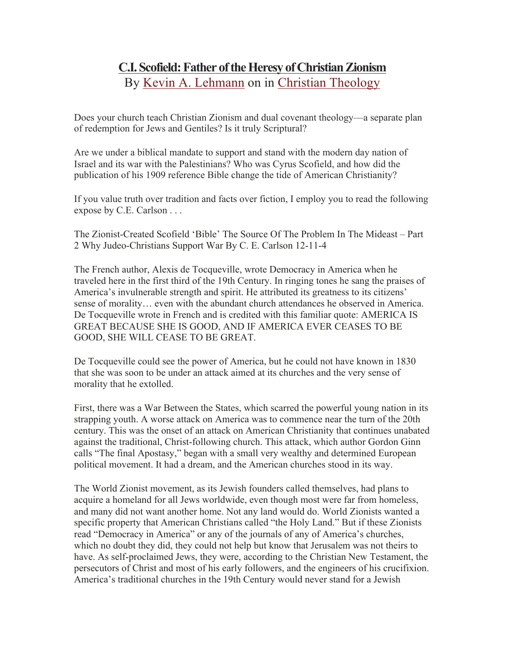## **C.I. Scofield: Father of the Heresy of Christian Zionism** By Kevin A. Lehmann on in Christian Theology

Does your church teach Christian Zionism and dual covenant theology—a separate plan of redemption for Jews and Gentiles? Is it truly Scriptural?

Are we under a biblical mandate to support and stand with the modern day nation of Israel and its war with the Palestinians? Who was Cyrus Scofield, and how did the publication of his 1909 reference Bible change the tide of American Christianity?

If you value truth over tradition and facts over fiction, I employ you to read the following expose by C.E. Carlson . . .

The Zionist-Created Scofield 'Bible' The Source Of The Problem In The Mideast – Part 2 Why Judeo-Christians Support War By C. E. Carlson 12-11-4

The French author, Alexis de Tocqueville, wrote Democracy in America when he traveled here in the first third of the 19th Century. In ringing tones he sang the praises of America's invulnerable strength and spirit. He attributed its greatness to its citizens' sense of morality… even with the abundant church attendances he observed in America. De Tocqueville wrote in French and is credited with this familiar quote: AMERICA IS GREAT BECAUSE SHE IS GOOD, AND IF AMERICA EVER CEASES TO BE GOOD, SHE WILL CEASE TO BE GREAT.

De Tocqueville could see the power of America, but he could not have known in 1830 that she was soon to be under an attack aimed at its churches and the very sense of morality that he extolled.

First, there was a War Between the States, which scarred the powerful young nation in its strapping youth. A worse attack on America was to commence near the turn of the 20th century. This was the onset of an attack on American Christianity that continues unabated against the traditional, Christ-following church. This attack, which author Gordon Ginn calls "The final Apostasy," began with a small very wealthy and determined European political movement. It had a dream, and the American churches stood in its way.

The World Zionist movement, as its Jewish founders called themselves, had plans to acquire a homeland for all Jews worldwide, even though most were far from homeless, and many did not want another home. Not any land would do. World Zionists wanted a specific property that American Christians called "the Holy Land." But if these Zionists read "Democracy in America" or any of the journals of any of America's churches, which no doubt they did, they could not help but know that Jerusalem was not theirs to have. As self-proclaimed Jews, they were, according to the Christian New Testament, the persecutors of Christ and most of his early followers, and the engineers of his crucifixion. America's traditional churches in the 19th Century would never stand for a Jewish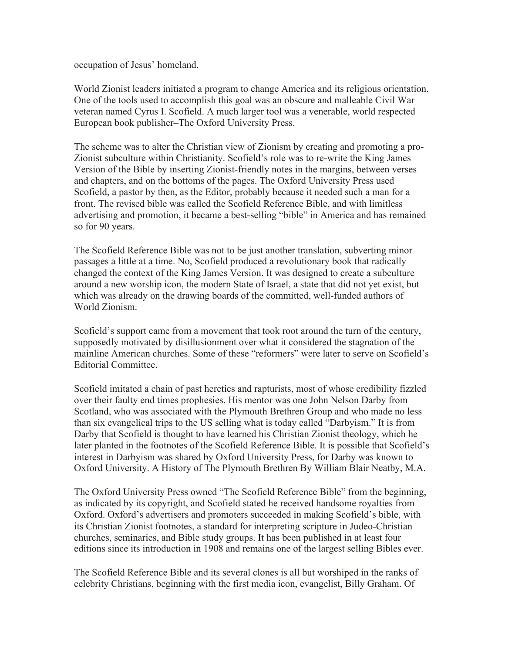occupation of Jesus' homeland.

World Zionist leaders initiated a program to change America and its religious orientation. One of the tools used to accomplish this goal was an obscure and malleable Civil War veteran named Cyrus I. Scofield. A much larger tool was a venerable, world respected European book publisher–The Oxford University Press.

The scheme was to alter the Christian view of Zionism by creating and promoting a pro-Zionist subculture within Christianity. Scofield's role was to re-write the King James Version of the Bible by inserting Zionist-friendly notes in the margins, between verses and chapters, and on the bottoms of the pages. The Oxford University Press used Scofield, a pastor by then, as the Editor, probably because it needed such a man for a front. The revised bible was called the Scofield Reference Bible, and with limitless advertising and promotion, it became a best-selling "bible" in America and has remained so for 90 years.

The Scofield Reference Bible was not to be just another translation, subverting minor passages a little at a time. No, Scofield produced a revolutionary book that radically changed the context of the King James Version. It was designed to create a subculture around a new worship icon, the modern State of Israel, a state that did not yet exist, but which was already on the drawing boards of the committed, well-funded authors of World Zionism.

Scofield's support came from a movement that took root around the turn of the century, supposedly motivated by disillusionment over what it considered the stagnation of the mainline American churches. Some of these "reformers" were later to serve on Scofield's Editorial Committee.

Scofield imitated a chain of past heretics and rapturists, most of whose credibility fizzled over their faulty end times prophesies. His mentor was one John Nelson Darby from Scotland, who was associated with the Plymouth Brethren Group and who made no less than six evangelical trips to the US selling what is today called "Darbyism." It is from Darby that Scofield is thought to have learned his Christian Zionist theology, which he later planted in the footnotes of the Scofield Reference Bible. It is possible that Scofield's interest in Darbyism was shared by Oxford University Press, for Darby was known to Oxford University. A History of The Plymouth Brethren By William Blair Neatby, M.A.

The Oxford University Press owned "The Scofield Reference Bible" from the beginning, as indicated by its copyright, and Scofield stated he received handsome royalties from Oxford. Oxford's advertisers and promoters succeeded in making Scofield's bible, with its Christian Zionist footnotes, a standard for interpreting scripture in Judeo-Christian churches, seminaries, and Bible study groups. It has been published in at least four editions since its introduction in 1908 and remains one of the largest selling Bibles ever.

The Scofield Reference Bible and its several clones is all but worshiped in the ranks of celebrity Christians, beginning with the first media icon, evangelist, Billy Graham. Of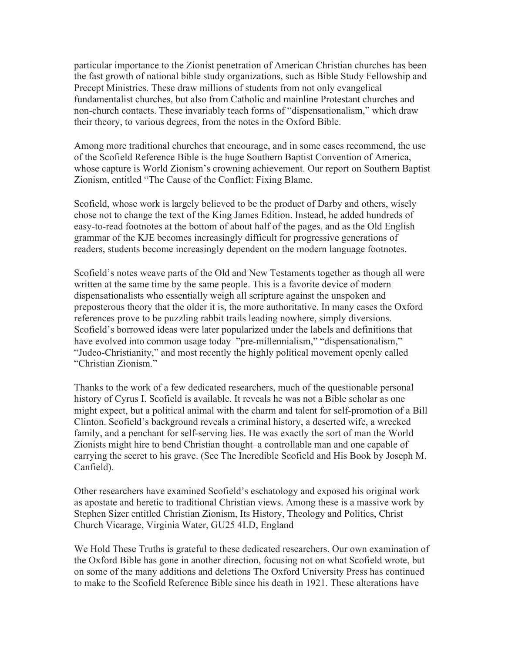particular importance to the Zionist penetration of American Christian churches has been the fast growth of national bible study organizations, such as Bible Study Fellowship and Precept Ministries. These draw millions of students from not only evangelical fundamentalist churches, but also from Catholic and mainline Protestant churches and non-church contacts. These invariably teach forms of "dispensationalism," which draw their theory, to various degrees, from the notes in the Oxford Bible.

Among more traditional churches that encourage, and in some cases recommend, the use of the Scofield Reference Bible is the huge Southern Baptist Convention of America, whose capture is World Zionism's crowning achievement. Our report on Southern Baptist Zionism, entitled "The Cause of the Conflict: Fixing Blame.

Scofield, whose work is largely believed to be the product of Darby and others, wisely chose not to change the text of the King James Edition. Instead, he added hundreds of easy-to-read footnotes at the bottom of about half of the pages, and as the Old English grammar of the KJE becomes increasingly difficult for progressive generations of readers, students become increasingly dependent on the modern language footnotes.

Scofield's notes weave parts of the Old and New Testaments together as though all were written at the same time by the same people. This is a favorite device of modern dispensationalists who essentially weigh all scripture against the unspoken and preposterous theory that the older it is, the more authoritative. In many cases the Oxford references prove to be puzzling rabbit trails leading nowhere, simply diversions. Scofield's borrowed ideas were later popularized under the labels and definitions that have evolved into common usage today–"pre-millennialism," "dispensationalism," "Judeo-Christianity," and most recently the highly political movement openly called "Christian Zionism."

Thanks to the work of a few dedicated researchers, much of the questionable personal history of Cyrus I. Scofield is available. It reveals he was not a Bible scholar as one might expect, but a political animal with the charm and talent for self-promotion of a Bill Clinton. Scofield's background reveals a criminal history, a deserted wife, a wrecked family, and a penchant for self-serving lies. He was exactly the sort of man the World Zionists might hire to bend Christian thought–a controllable man and one capable of carrying the secret to his grave. (See The Incredible Scofield and His Book by Joseph M. Canfield).

Other researchers have examined Scofield's eschatology and exposed his original work as apostate and heretic to traditional Christian views. Among these is a massive work by Stephen Sizer entitled Christian Zionism, Its History, Theology and Politics, Christ Church Vicarage, Virginia Water, GU25 4LD, England

We Hold These Truths is grateful to these dedicated researchers. Our own examination of the Oxford Bible has gone in another direction, focusing not on what Scofield wrote, but on some of the many additions and deletions The Oxford University Press has continued to make to the Scofield Reference Bible since his death in 1921. These alterations have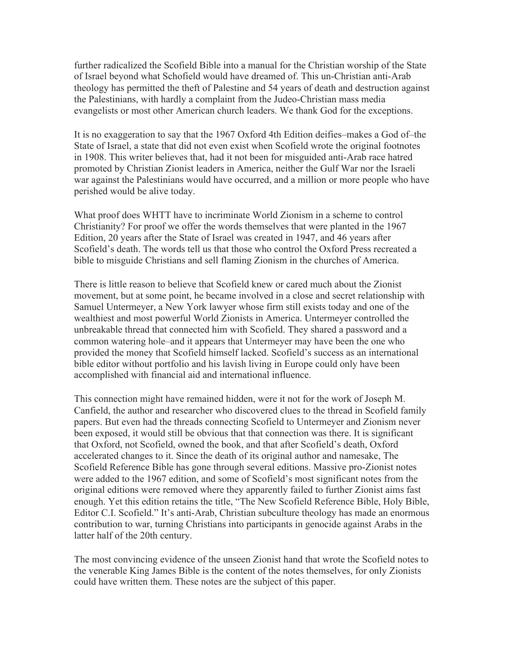further radicalized the Scofield Bible into a manual for the Christian worship of the State of Israel beyond what Schofield would have dreamed of. This un-Christian anti-Arab theology has permitted the theft of Palestine and 54 years of death and destruction against the Palestinians, with hardly a complaint from the Judeo-Christian mass media evangelists or most other American church leaders. We thank God for the exceptions.

It is no exaggeration to say that the 1967 Oxford 4th Edition deifies–makes a God of–the State of Israel, a state that did not even exist when Scofield wrote the original footnotes in 1908. This writer believes that, had it not been for misguided anti-Arab race hatred promoted by Christian Zionist leaders in America, neither the Gulf War nor the Israeli war against the Palestinians would have occurred, and a million or more people who have perished would be alive today.

What proof does WHTT have to incriminate World Zionism in a scheme to control Christianity? For proof we offer the words themselves that were planted in the 1967 Edition, 20 years after the State of Israel was created in 1947, and 46 years after Scofield's death. The words tell us that those who control the Oxford Press recreated a bible to misguide Christians and sell flaming Zionism in the churches of America.

There is little reason to believe that Scofield knew or cared much about the Zionist movement, but at some point, he became involved in a close and secret relationship with Samuel Untermeyer, a New York lawyer whose firm still exists today and one of the wealthiest and most powerful World Zionists in America. Untermeyer controlled the unbreakable thread that connected him with Scofield. They shared a password and a common watering hole–and it appears that Untermeyer may have been the one who provided the money that Scofield himself lacked. Scofield's success as an international bible editor without portfolio and his lavish living in Europe could only have been accomplished with financial aid and international influence.

This connection might have remained hidden, were it not for the work of Joseph M. Canfield, the author and researcher who discovered clues to the thread in Scofield family papers. But even had the threads connecting Scofield to Untermeyer and Zionism never been exposed, it would still be obvious that that connection was there. It is significant that Oxford, not Scofield, owned the book, and that after Scofield's death, Oxford accelerated changes to it. Since the death of its original author and namesake, The Scofield Reference Bible has gone through several editions. Massive pro-Zionist notes were added to the 1967 edition, and some of Scofield's most significant notes from the original editions were removed where they apparently failed to further Zionist aims fast enough. Yet this edition retains the title, "The New Scofield Reference Bible, Holy Bible, Editor C.I. Scofield." It's anti-Arab, Christian subculture theology has made an enormous contribution to war, turning Christians into participants in genocide against Arabs in the latter half of the 20th century.

The most convincing evidence of the unseen Zionist hand that wrote the Scofield notes to the venerable King James Bible is the content of the notes themselves, for only Zionists could have written them. These notes are the subject of this paper.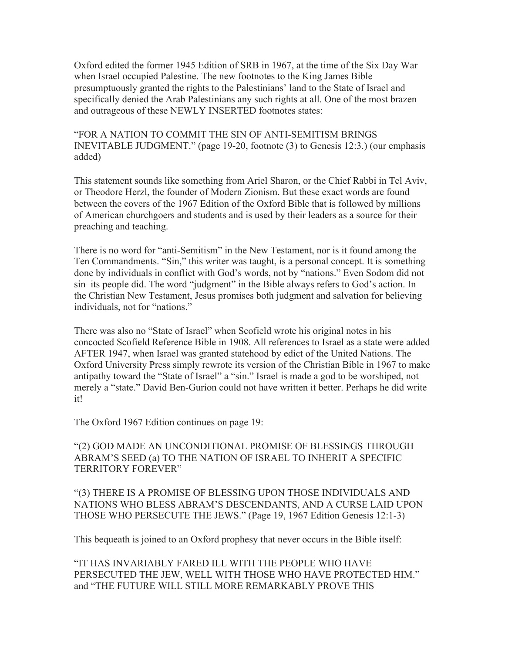Oxford edited the former 1945 Edition of SRB in 1967, at the time of the Six Day War when Israel occupied Palestine. The new footnotes to the King James Bible presumptuously granted the rights to the Palestinians' land to the State of Israel and specifically denied the Arab Palestinians any such rights at all. One of the most brazen and outrageous of these NEWLY INSERTED footnotes states:

"FOR A NATION TO COMMIT THE SIN OF ANTI-SEMITISM BRINGS INEVITABLE JUDGMENT." (page 19-20, footnote (3) to Genesis 12:3.) (our emphasis added)

This statement sounds like something from Ariel Sharon, or the Chief Rabbi in Tel Aviv, or Theodore Herzl, the founder of Modern Zionism. But these exact words are found between the covers of the 1967 Edition of the Oxford Bible that is followed by millions of American churchgoers and students and is used by their leaders as a source for their preaching and teaching.

There is no word for "anti-Semitism" in the New Testament, nor is it found among the Ten Commandments. "Sin," this writer was taught, is a personal concept. It is something done by individuals in conflict with God's words, not by "nations." Even Sodom did not sin–its people did. The word "judgment" in the Bible always refers to God's action. In the Christian New Testament, Jesus promises both judgment and salvation for believing individuals, not for "nations."

There was also no "State of Israel" when Scofield wrote his original notes in his concocted Scofield Reference Bible in 1908. All references to Israel as a state were added AFTER 1947, when Israel was granted statehood by edict of the United Nations. The Oxford University Press simply rewrote its version of the Christian Bible in 1967 to make antipathy toward the "State of Israel" a "sin." Israel is made a god to be worshiped, not merely a "state." David Ben-Gurion could not have written it better. Perhaps he did write it!

The Oxford 1967 Edition continues on page 19:

"(2) GOD MADE AN UNCONDITIONAL PROMISE OF BLESSINGS THROUGH ABRAM'S SEED (a) TO THE NATION OF ISRAEL TO INHERIT A SPECIFIC TERRITORY FOREVER"

"(3) THERE IS A PROMISE OF BLESSING UPON THOSE INDIVIDUALS AND NATIONS WHO BLESS ABRAM'S DESCENDANTS, AND A CURSE LAID UPON THOSE WHO PERSECUTE THE JEWS." (Page 19, 1967 Edition Genesis 12:1-3)

This bequeath is joined to an Oxford prophesy that never occurs in the Bible itself:

"IT HAS INVARIABLY FARED ILL WITH THE PEOPLE WHO HAVE PERSECUTED THE JEW, WELL WITH THOSE WHO HAVE PROTECTED HIM." and "THE FUTURE WILL STILL MORE REMARKABLY PROVE THIS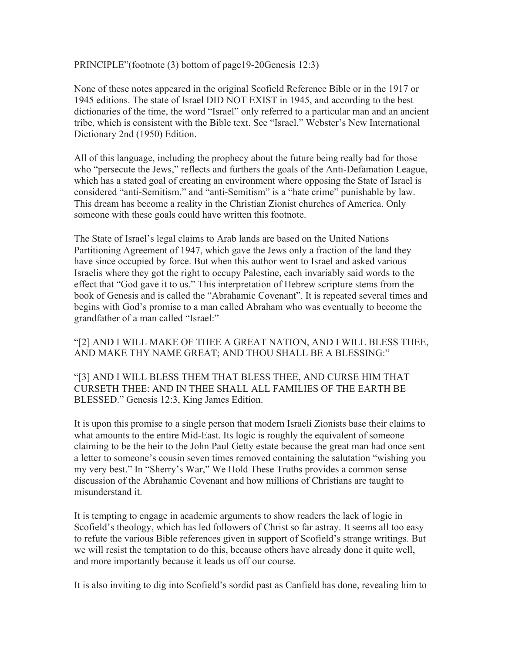PRINCIPLE"(footnote (3) bottom of page19-20Genesis 12:3)

None of these notes appeared in the original Scofield Reference Bible or in the 1917 or 1945 editions. The state of Israel DID NOT EXIST in 1945, and according to the best dictionaries of the time, the word "Israel" only referred to a particular man and an ancient tribe, which is consistent with the Bible text. See "Israel," Webster's New International Dictionary 2nd (1950) Edition.

All of this language, including the prophecy about the future being really bad for those who "persecute the Jews," reflects and furthers the goals of the Anti-Defamation League, which has a stated goal of creating an environment where opposing the State of Israel is considered "anti-Semitism," and "anti-Semitism" is a "hate crime" punishable by law. This dream has become a reality in the Christian Zionist churches of America. Only someone with these goals could have written this footnote.

The State of Israel's legal claims to Arab lands are based on the United Nations Partitioning Agreement of 1947, which gave the Jews only a fraction of the land they have since occupied by force. But when this author went to Israel and asked various Israelis where they got the right to occupy Palestine, each invariably said words to the effect that "God gave it to us." This interpretation of Hebrew scripture stems from the book of Genesis and is called the "Abrahamic Covenant". It is repeated several times and begins with God's promise to a man called Abraham who was eventually to become the grandfather of a man called "Israel:"

"[2] AND I WILL MAKE OF THEE A GREAT NATION, AND I WILL BLESS THEE, AND MAKE THY NAME GREAT; AND THOU SHALL BE A BLESSING:"

"[3] AND I WILL BLESS THEM THAT BLESS THEE, AND CURSE HIM THAT CURSETH THEE: AND IN THEE SHALL ALL FAMILIES OF THE EARTH BE BLESSED." Genesis 12:3, King James Edition.

It is upon this promise to a single person that modern Israeli Zionists base their claims to what amounts to the entire Mid-East. Its logic is roughly the equivalent of someone claiming to be the heir to the John Paul Getty estate because the great man had once sent a letter to someone's cousin seven times removed containing the salutation "wishing you my very best." In "Sherry's War," We Hold These Truths provides a common sense discussion of the Abrahamic Covenant and how millions of Christians are taught to misunderstand it.

It is tempting to engage in academic arguments to show readers the lack of logic in Scofield's theology, which has led followers of Christ so far astray. It seems all too easy to refute the various Bible references given in support of Scofield's strange writings. But we will resist the temptation to do this, because others have already done it quite well, and more importantly because it leads us off our course.

It is also inviting to dig into Scofield's sordid past as Canfield has done, revealing him to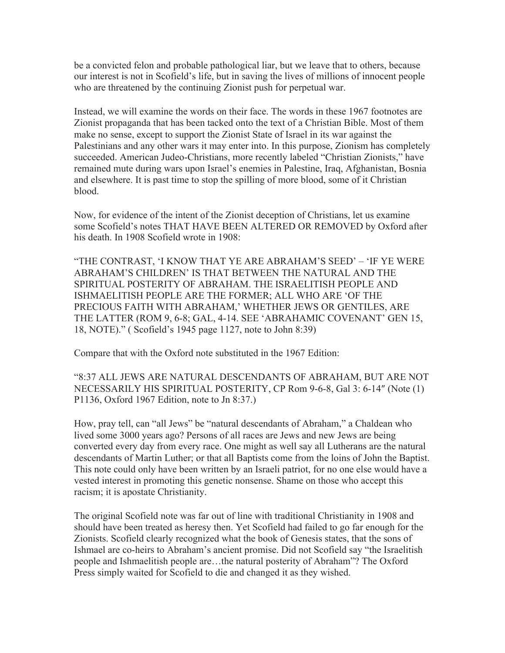be a convicted felon and probable pathological liar, but we leave that to others, because our interest is not in Scofield's life, but in saving the lives of millions of innocent people who are threatened by the continuing Zionist push for perpetual war.

Instead, we will examine the words on their face. The words in these 1967 footnotes are Zionist propaganda that has been tacked onto the text of a Christian Bible. Most of them make no sense, except to support the Zionist State of Israel in its war against the Palestinians and any other wars it may enter into. In this purpose, Zionism has completely succeeded. American Judeo-Christians, more recently labeled "Christian Zionists," have remained mute during wars upon Israel's enemies in Palestine, Iraq, Afghanistan, Bosnia and elsewhere. It is past time to stop the spilling of more blood, some of it Christian blood.

Now, for evidence of the intent of the Zionist deception of Christians, let us examine some Scofield's notes THAT HAVE BEEN ALTERED OR REMOVED by Oxford after his death. In 1908 Scofield wrote in 1908:

"THE CONTRAST, 'I KNOW THAT YE ARE ABRAHAM'S SEED' – 'IF YE WERE ABRAHAM'S CHILDREN' IS THAT BETWEEN THE NATURAL AND THE SPIRITUAL POSTERITY OF ABRAHAM. THE ISRAELITISH PEOPLE AND ISHMAELITISH PEOPLE ARE THE FORMER; ALL WHO ARE 'OF THE PRECIOUS FAITH WITH ABRAHAM,' WHETHER JEWS OR GENTILES, ARE THE LATTER (ROM 9, 6-8; GAL, 4-14. SEE 'ABRAHAMIC COVENANT' GEN 15, 18, NOTE)." ( Scofield's 1945 page 1127, note to John 8:39)

Compare that with the Oxford note substituted in the 1967 Edition:

"8:37 ALL JEWS ARE NATURAL DESCENDANTS OF ABRAHAM, BUT ARE NOT NECESSARILY HIS SPIRITUAL POSTERITY, CP Rom 9-6-8, Gal 3: 6-14″ (Note (1) P1136, Oxford 1967 Edition, note to Jn 8:37.)

How, pray tell, can "all Jews" be "natural descendants of Abraham," a Chaldean who lived some 3000 years ago? Persons of all races are Jews and new Jews are being converted every day from every race. One might as well say all Lutherans are the natural descendants of Martin Luther; or that all Baptists come from the loins of John the Baptist. This note could only have been written by an Israeli patriot, for no one else would have a vested interest in promoting this genetic nonsense. Shame on those who accept this racism; it is apostate Christianity.

The original Scofield note was far out of line with traditional Christianity in 1908 and should have been treated as heresy then. Yet Scofield had failed to go far enough for the Zionists. Scofield clearly recognized what the book of Genesis states, that the sons of Ishmael are co-heirs to Abraham's ancient promise. Did not Scofield say "the Israelitish people and Ishmaelitish people are…the natural posterity of Abraham"? The Oxford Press simply waited for Scofield to die and changed it as they wished.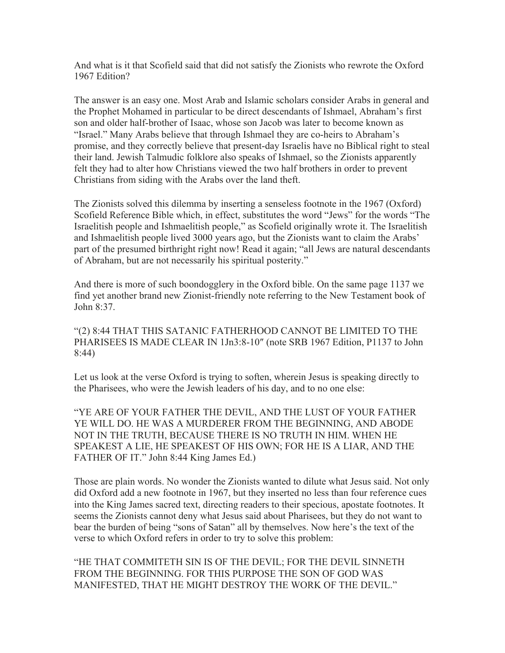And what is it that Scofield said that did not satisfy the Zionists who rewrote the Oxford 1967 Edition?

The answer is an easy one. Most Arab and Islamic scholars consider Arabs in general and the Prophet Mohamed in particular to be direct descendants of Ishmael, Abraham's first son and older half-brother of Isaac, whose son Jacob was later to become known as "Israel." Many Arabs believe that through Ishmael they are co-heirs to Abraham's promise, and they correctly believe that present-day Israelis have no Biblical right to steal their land. Jewish Talmudic folklore also speaks of Ishmael, so the Zionists apparently felt they had to alter how Christians viewed the two half brothers in order to prevent Christians from siding with the Arabs over the land theft.

The Zionists solved this dilemma by inserting a senseless footnote in the 1967 (Oxford) Scofield Reference Bible which, in effect, substitutes the word "Jews" for the words "The Israelitish people and Ishmaelitish people," as Scofield originally wrote it. The Israelitish and Ishmaelitish people lived 3000 years ago, but the Zionists want to claim the Arabs' part of the presumed birthright right now! Read it again; "all Jews are natural descendants of Abraham, but are not necessarily his spiritual posterity."

And there is more of such boondogglery in the Oxford bible. On the same page 1137 we find yet another brand new Zionist-friendly note referring to the New Testament book of John  $8.37$ .

"(2) 8:44 THAT THIS SATANIC FATHERHOOD CANNOT BE LIMITED TO THE PHARISEES IS MADE CLEAR IN 1Jn3:8-10″ (note SRB 1967 Edition, P1137 to John 8:44)

Let us look at the verse Oxford is trying to soften, wherein Jesus is speaking directly to the Pharisees, who were the Jewish leaders of his day, and to no one else:

"YE ARE OF YOUR FATHER THE DEVIL, AND THE LUST OF YOUR FATHER YE WILL DO. HE WAS A MURDERER FROM THE BEGINNING, AND ABODE NOT IN THE TRUTH, BECAUSE THERE IS NO TRUTH IN HIM. WHEN HE SPEAKEST A LIE, HE SPEAKEST OF HIS OWN; FOR HE IS A LIAR, AND THE FATHER OF IT." John 8:44 King James Ed.)

Those are plain words. No wonder the Zionists wanted to dilute what Jesus said. Not only did Oxford add a new footnote in 1967, but they inserted no less than four reference cues into the King James sacred text, directing readers to their specious, apostate footnotes. It seems the Zionists cannot deny what Jesus said about Pharisees, but they do not want to bear the burden of being "sons of Satan" all by themselves. Now here's the text of the verse to which Oxford refers in order to try to solve this problem:

"HE THAT COMMITETH SIN IS OF THE DEVIL; FOR THE DEVIL SINNETH FROM THE BEGINNING. FOR THIS PURPOSE THE SON OF GOD WAS MANIFESTED, THAT HE MIGHT DESTROY THE WORK OF THE DEVIL."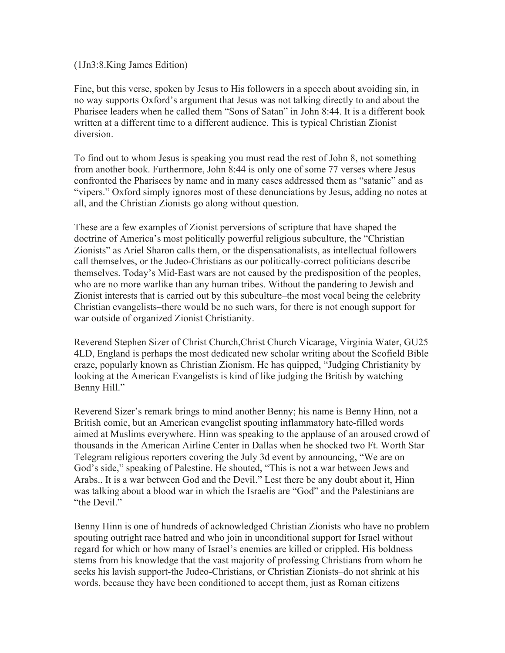## (1Jn3:8.King James Edition)

Fine, but this verse, spoken by Jesus to His followers in a speech about avoiding sin, in no way supports Oxford's argument that Jesus was not talking directly to and about the Pharisee leaders when he called them "Sons of Satan" in John 8:44. It is a different book written at a different time to a different audience. This is typical Christian Zionist diversion.

To find out to whom Jesus is speaking you must read the rest of John 8, not something from another book. Furthermore, John 8:44 is only one of some 77 verses where Jesus confronted the Pharisees by name and in many cases addressed them as "satanic" and as "vipers." Oxford simply ignores most of these denunciations by Jesus, adding no notes at all, and the Christian Zionists go along without question.

These are a few examples of Zionist perversions of scripture that have shaped the doctrine of America's most politically powerful religious subculture, the "Christian Zionists" as Ariel Sharon calls them, or the dispensationalists, as intellectual followers call themselves, or the Judeo-Christians as our politically-correct politicians describe themselves. Today's Mid-East wars are not caused by the predisposition of the peoples, who are no more warlike than any human tribes. Without the pandering to Jewish and Zionist interests that is carried out by this subculture–the most vocal being the celebrity Christian evangelists–there would be no such wars, for there is not enough support for war outside of organized Zionist Christianity.

Reverend Stephen Sizer of Christ Church,Christ Church Vicarage, Virginia Water, GU25 4LD, England is perhaps the most dedicated new scholar writing about the Scofield Bible craze, popularly known as Christian Zionism. He has quipped, "Judging Christianity by looking at the American Evangelists is kind of like judging the British by watching Benny Hill."

Reverend Sizer's remark brings to mind another Benny; his name is Benny Hinn, not a British comic, but an American evangelist spouting inflammatory hate-filled words aimed at Muslims everywhere. Hinn was speaking to the applause of an aroused crowd of thousands in the American Airline Center in Dallas when he shocked two Ft. Worth Star Telegram religious reporters covering the July 3d event by announcing, "We are on God's side," speaking of Palestine. He shouted, "This is not a war between Jews and Arabs.. It is a war between God and the Devil." Lest there be any doubt about it, Hinn was talking about a blood war in which the Israelis are "God" and the Palestinians are "the Devil."

Benny Hinn is one of hundreds of acknowledged Christian Zionists who have no problem spouting outright race hatred and who join in unconditional support for Israel without regard for which or how many of Israel's enemies are killed or crippled. His boldness stems from his knowledge that the vast majority of professing Christians from whom he seeks his lavish support-the Judeo-Christians, or Christian Zionists–do not shrink at his words, because they have been conditioned to accept them, just as Roman citizens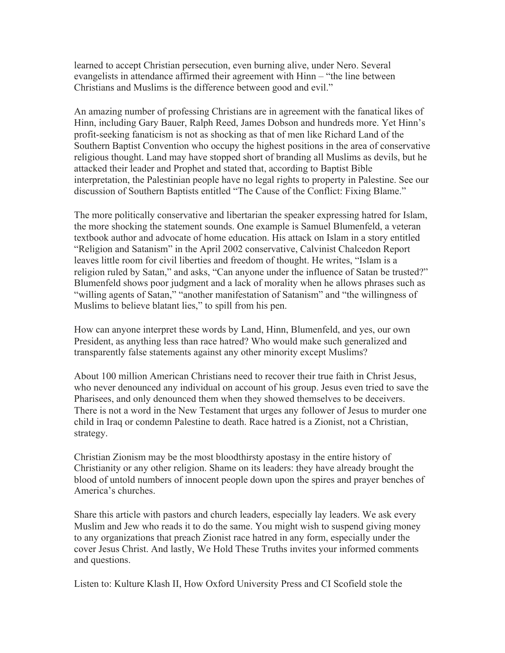learned to accept Christian persecution, even burning alive, under Nero. Several evangelists in attendance affirmed their agreement with Hinn – "the line between Christians and Muslims is the difference between good and evil."

An amazing number of professing Christians are in agreement with the fanatical likes of Hinn, including Gary Bauer, Ralph Reed, James Dobson and hundreds more. Yet Hinn's profit-seeking fanaticism is not as shocking as that of men like Richard Land of the Southern Baptist Convention who occupy the highest positions in the area of conservative religious thought. Land may have stopped short of branding all Muslims as devils, but he attacked their leader and Prophet and stated that, according to Baptist Bible interpretation, the Palestinian people have no legal rights to property in Palestine. See our discussion of Southern Baptists entitled "The Cause of the Conflict: Fixing Blame."

The more politically conservative and libertarian the speaker expressing hatred for Islam, the more shocking the statement sounds. One example is Samuel Blumenfeld, a veteran textbook author and advocate of home education. His attack on Islam in a story entitled "Religion and Satanism" in the April 2002 conservative, Calvinist Chalcedon Report leaves little room for civil liberties and freedom of thought. He writes, "Islam is a religion ruled by Satan," and asks, "Can anyone under the influence of Satan be trusted?" Blumenfeld shows poor judgment and a lack of morality when he allows phrases such as "willing agents of Satan," "another manifestation of Satanism" and "the willingness of Muslims to believe blatant lies," to spill from his pen.

How can anyone interpret these words by Land, Hinn, Blumenfeld, and yes, our own President, as anything less than race hatred? Who would make such generalized and transparently false statements against any other minority except Muslims?

About 100 million American Christians need to recover their true faith in Christ Jesus, who never denounced any individual on account of his group. Jesus even tried to save the Pharisees, and only denounced them when they showed themselves to be deceivers. There is not a word in the New Testament that urges any follower of Jesus to murder one child in Iraq or condemn Palestine to death. Race hatred is a Zionist, not a Christian, strategy.

Christian Zionism may be the most bloodthirsty apostasy in the entire history of Christianity or any other religion. Shame on its leaders: they have already brought the blood of untold numbers of innocent people down upon the spires and prayer benches of America's churches.

Share this article with pastors and church leaders, especially lay leaders. We ask every Muslim and Jew who reads it to do the same. You might wish to suspend giving money to any organizations that preach Zionist race hatred in any form, especially under the cover Jesus Christ. And lastly, We Hold These Truths invites your informed comments and questions.

Listen to: Kulture Klash II, How Oxford University Press and CI Scofield stole the